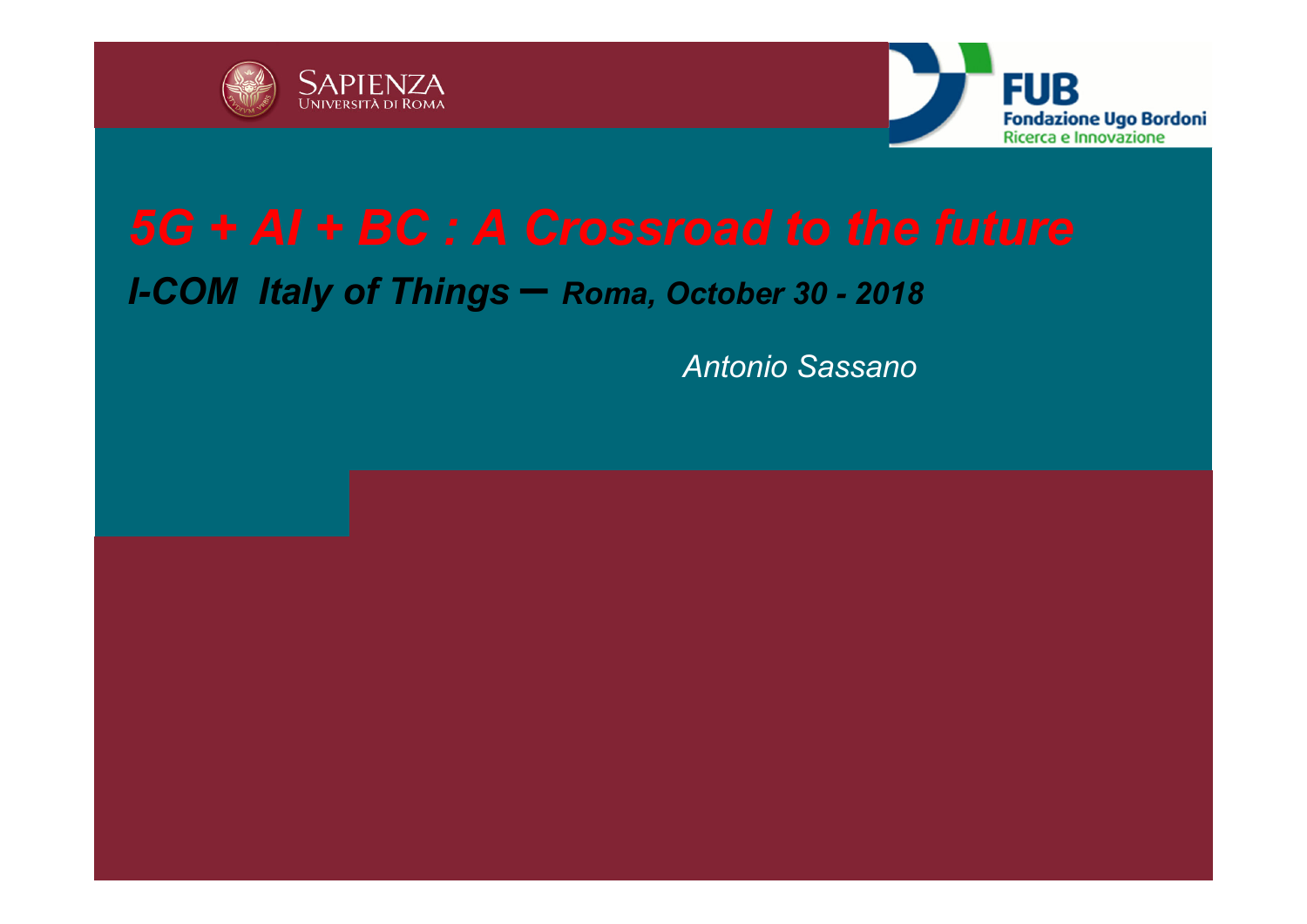



#### *I-COM Italy of Things – Roma, October 30 - 2018*

*Antonio Sassano*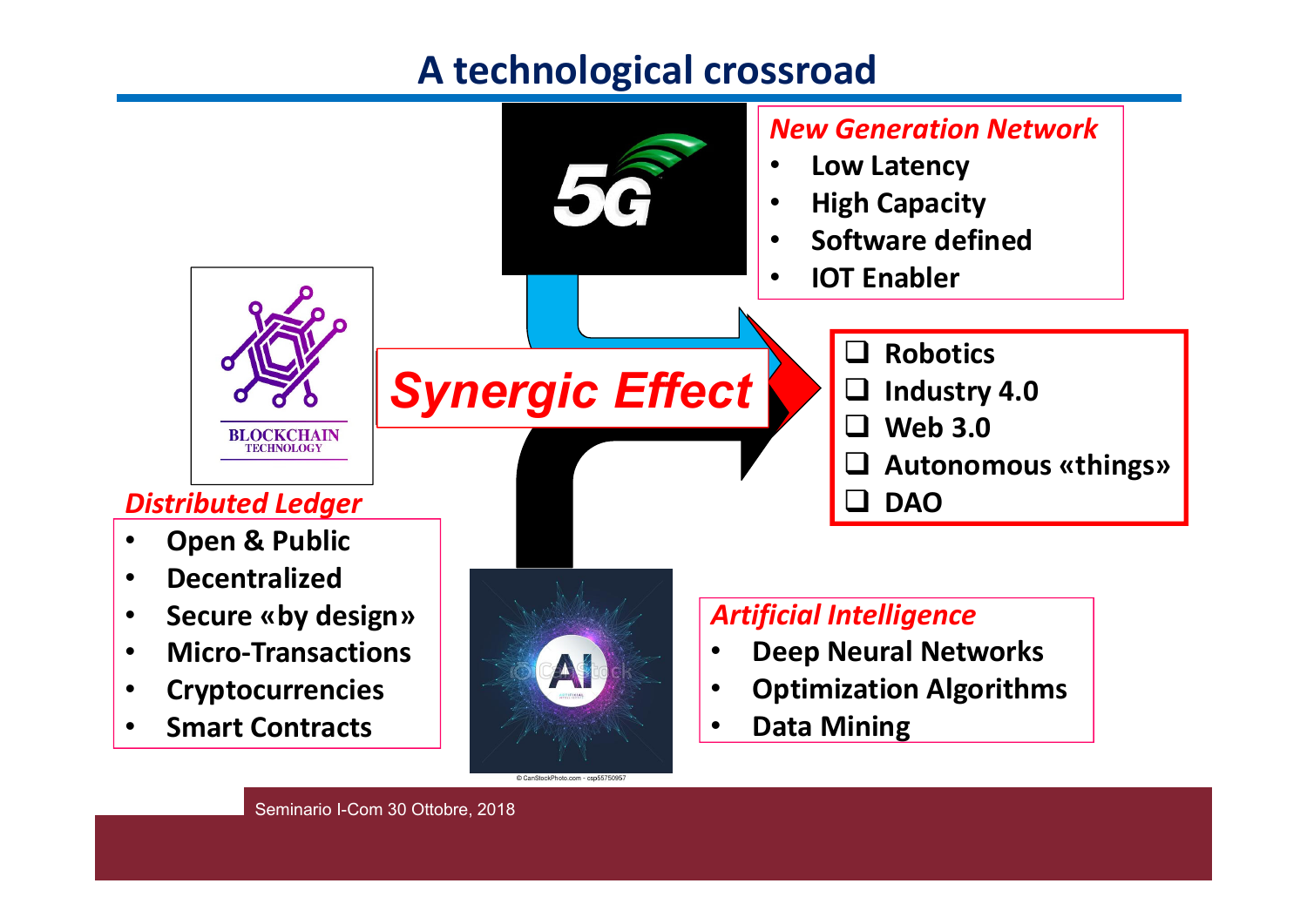# **A technological crossroad**

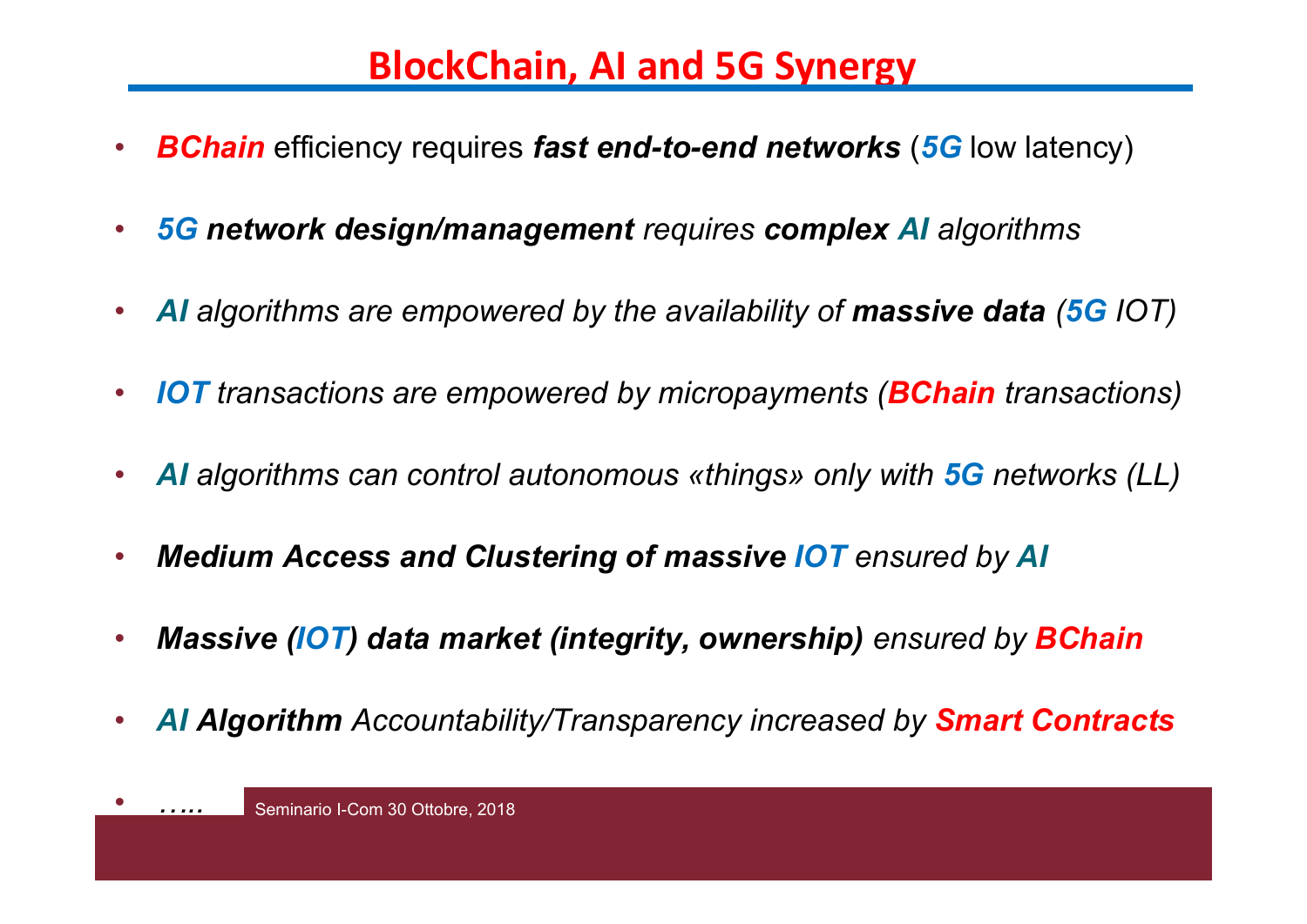## **BlockChain, AI and 5G Synergy**

- •*BChain* efficiency requires *fast end-to-end networks*  (*5G* low latency)
- $\bullet$ *5G network design/management requires complex AI algorithms*
- •*AI algorithms are empowered by the availability of massive data (5G IOT)*
- $\bullet$ *IOT transactions are empowered by micropayments (BChain transactions)*
- •*AI algorithms can control autonomous «things» only with 5G networks (LL)*
- •*Medium Access and Clustering of massive IOT ensured by AI*
- •*Massive (IOT) data market (integrity, ownership) ensured by BChain*
- •*AI Algorithm Accountability/Transparency increased by Smart Contracts*

•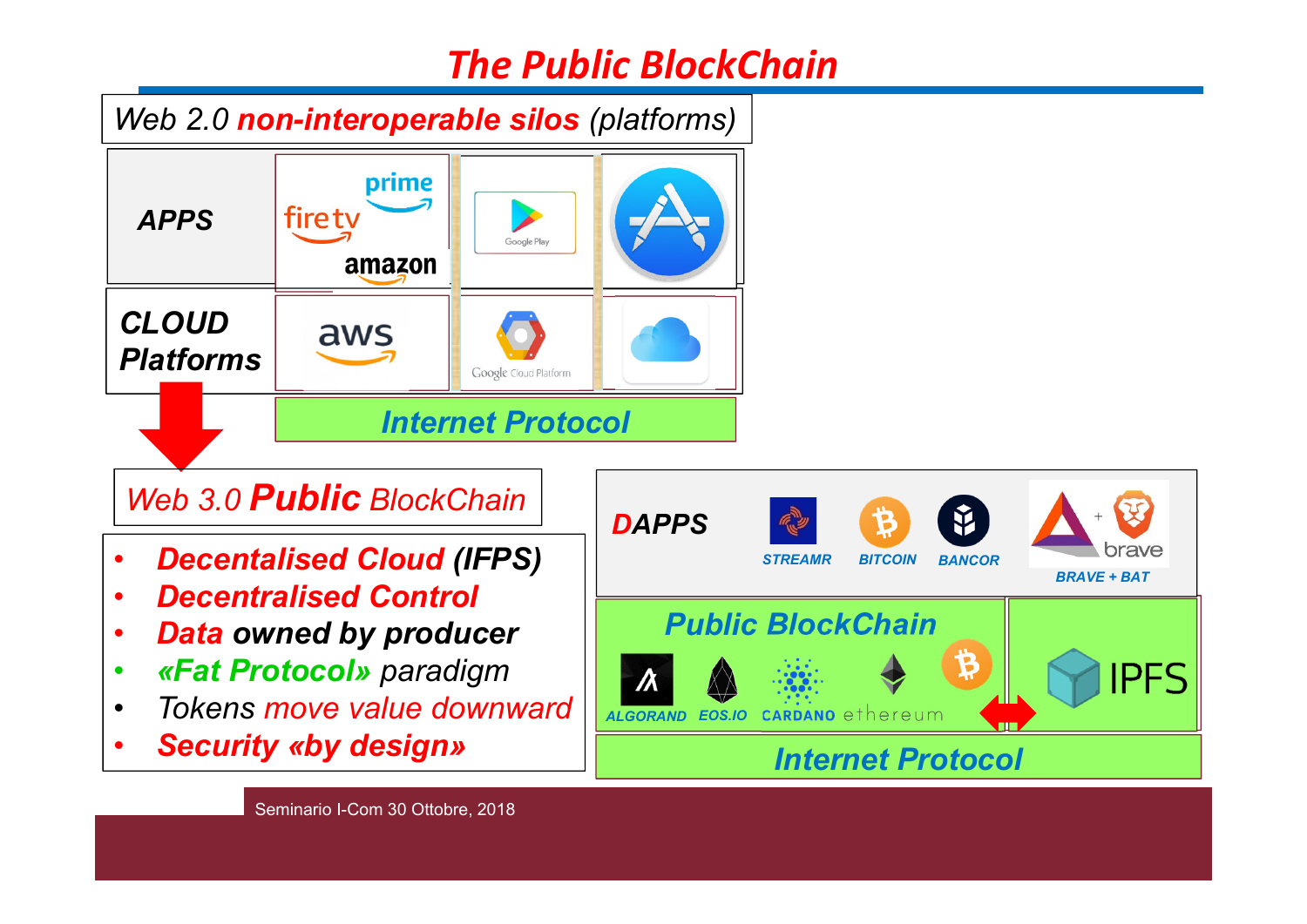# *The Public BlockChain*

*BRAVE + BAT*

Ř

brave

**IPFS** 

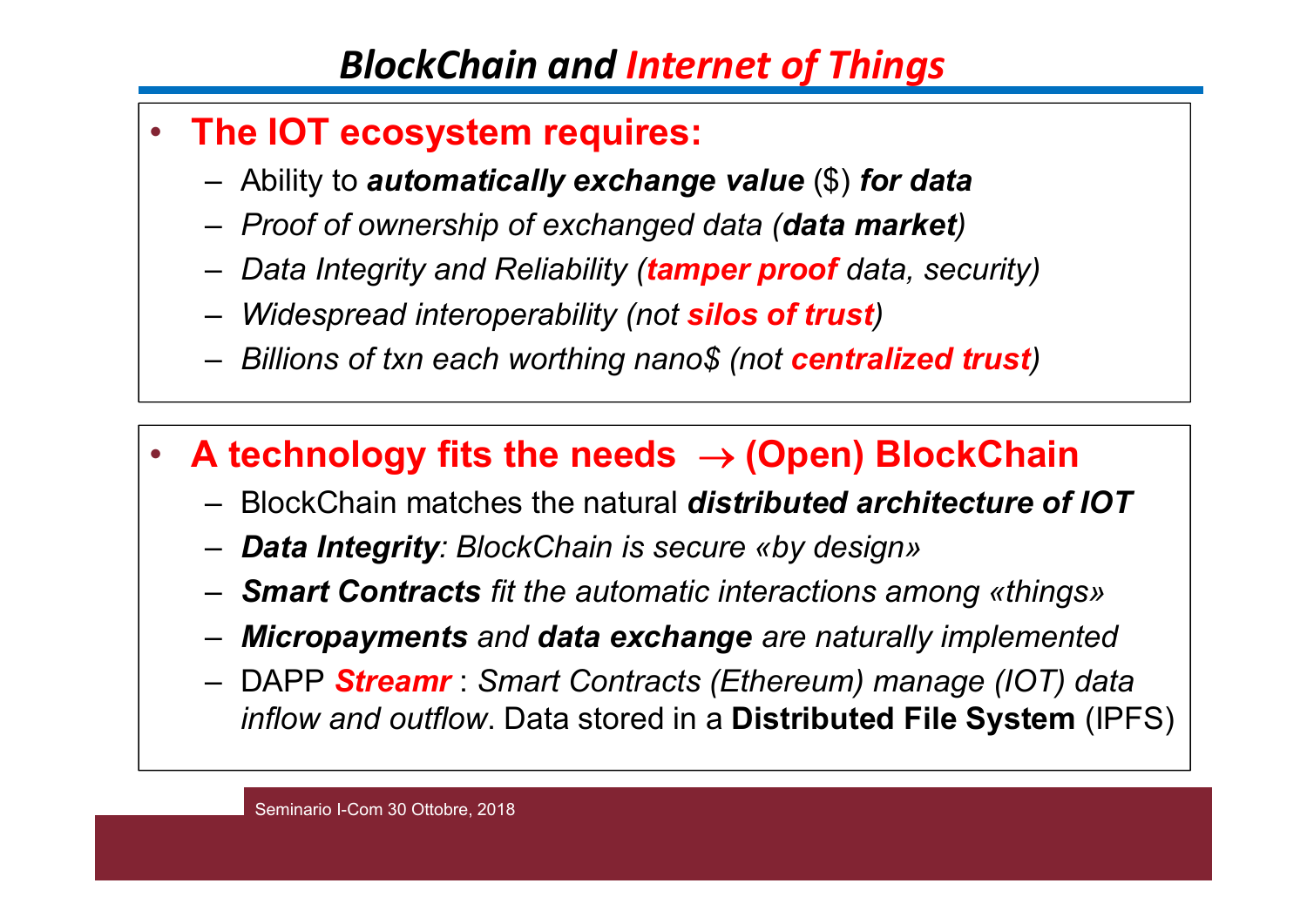# *BlockChain and Internet of Things*

- $\bullet$  **The IOT ecosystem requires:**
	- Ability to *automatically exchange value* (\$) *for data*
	- *Proof of ownership of exchanged data (data market)*
	- *Data Integrity and Reliability (tamper proof data, security)*
	- *Widespread interoperability (not silos of trust)*
	- *Billions of txn each worthing nano\$ (not centralized trust)*
- • **A technology fits the needs (Open) BlockChain**
	- BlockChain matches the natural *distributed architecture of IOT*
	- *Data Integrity: BlockChain is secure «by design»*
	- *Smart Contracts fit the automatic interactions among «things»*
	- *Micropayments and data exchange are naturally implemented*
	- DAPP *Streamr* : *Smart Contracts (Ethereum) manage (IOT) data inflow and outflow*. Data stored in a **Distributed File System** (IPFS)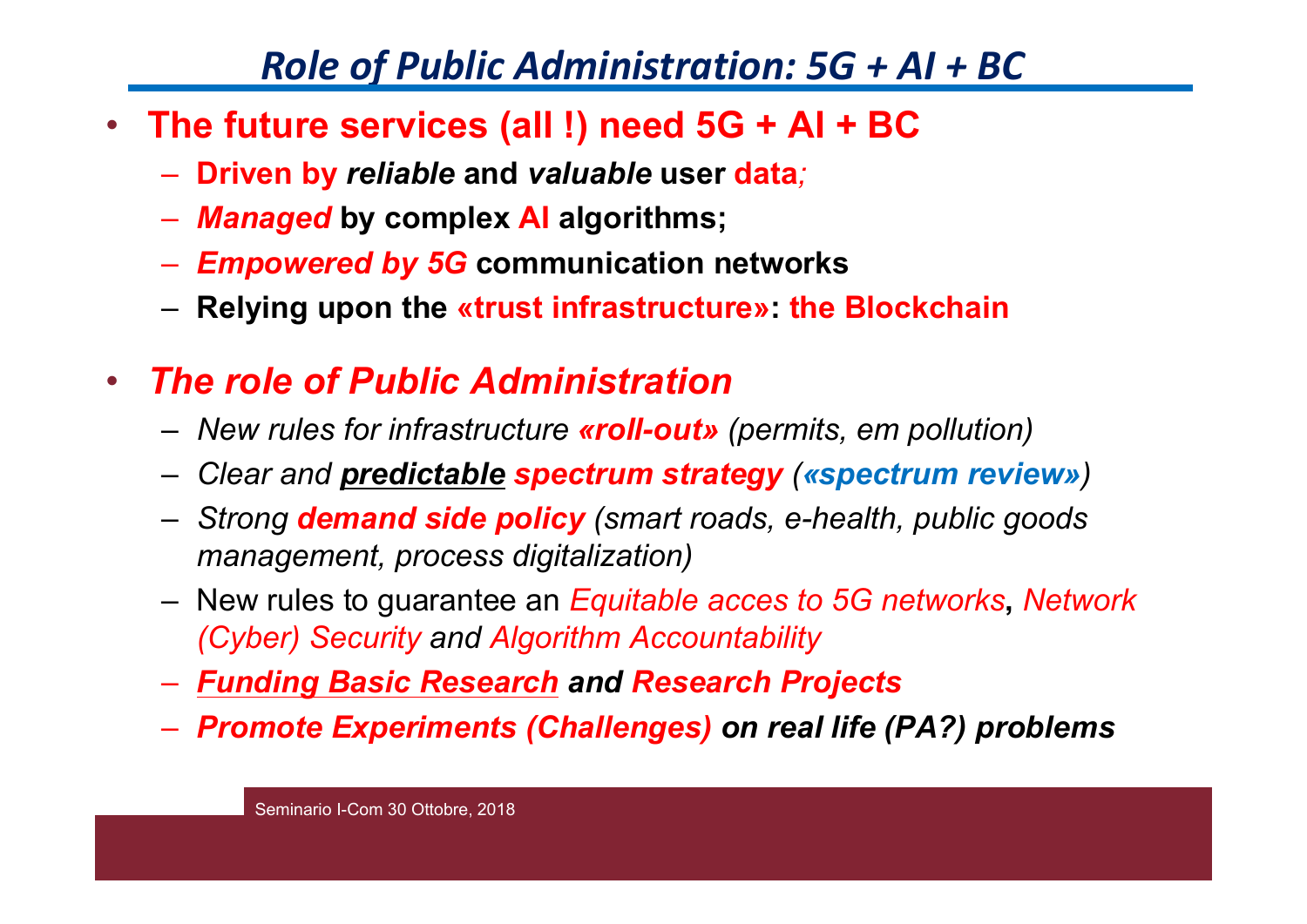## *Role of Public Administration: 5G + AI + B C*

- **The future services (all !) need 5G + AI + BC**
	- –**Driven by** *reliable* **and** *valuable* **user data** *;*
	- –*Managed* **by complex AI algorithms;**
	- –*Empowered by 5G* **communication networks**
	- **Relying upon the «trust infrastructure»: the Blockchain**
- • *The role of Public Administration* 
	- –*New rules for infrastructure «roll-out» (permits, em pollution)*
	- *Clear and predictable spectrum strategy («spectrum review»)*
	- – *Strong demand side policy (smart roads, e-health, public goods management, process digitalization)*
	- New rules to guarantee an *Equitable acces to 5G networks***,** *Network (Cyber) Security and Algorithm Accountability*
	- *Funding Basic Research and Research Projects*
	- –*Promote Experiments (Challenges) on real life (PA?) problems*